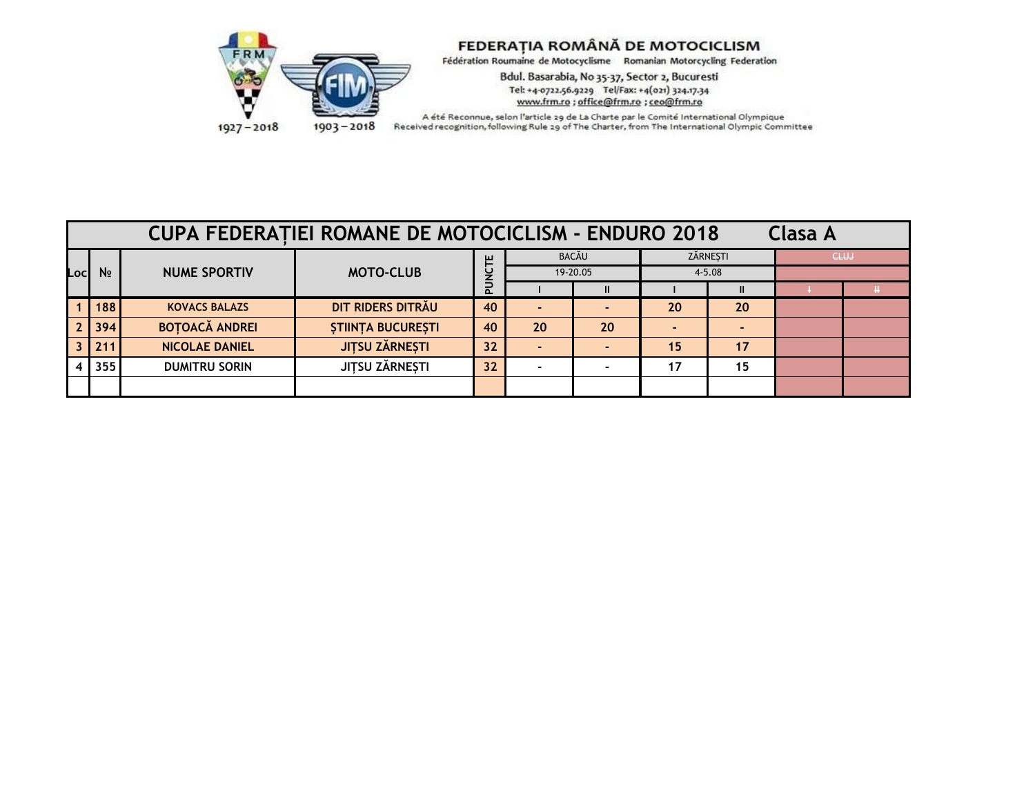

Bdul. Basarabia, No 35-37, Sector 2, Bucuresti Tel: +4-0722.56.9229 Tel/Fax: +4(021) 324.17.34<br>www.frm.ro ; office@frm.ro ; ceo@frm.ro

|      | <b>CUPA FEDERATIEI ROMANE DE MOTOCICLISM - ENDURO 2018</b><br><b>Clasa A</b> |                       |                             |          |    |               |          |              |  |      |  |  |
|------|------------------------------------------------------------------------------|-----------------------|-----------------------------|----------|----|---------------|----------|--------------|--|------|--|--|
|      |                                                                              | <b>NUME SPORTIV</b>   | ш<br><b>MOTO-CLUB</b><br>C. |          |    | <b>BACĂU</b>  | ZĂRNEȘTI |              |  | CLUJ |  |  |
| Locl | N <sub>2</sub>                                                               |                       |                             | 19-20.05 |    | $4 - 5.08$    |          |              |  |      |  |  |
|      |                                                                              |                       |                             |          |    | $\mathbf{II}$ |          | $\mathbf{I}$ |  |      |  |  |
|      | 188                                                                          | <b>KOVACS BALAZS</b>  | DIT RIDERS DITRAU           | 40       |    |               | 20       | 20           |  |      |  |  |
|      | 394                                                                          | <b>BOTOACĂ ANDREI</b> | <b>STIINTA BUCURESTI</b>    | 40       | 20 | 20            |          |              |  |      |  |  |
|      | 211                                                                          | <b>NICOLAE DANIEL</b> | <b>JITSU ZĂRNEȘTI</b>       | 32       |    |               | 15       | 17           |  |      |  |  |
|      | 355                                                                          | <b>DUMITRU SORIN</b>  | JITSU ZĂRNEȘTI              | 32       |    |               | 17       | 15           |  |      |  |  |
|      |                                                                              |                       |                             |          |    |               |          |              |  |      |  |  |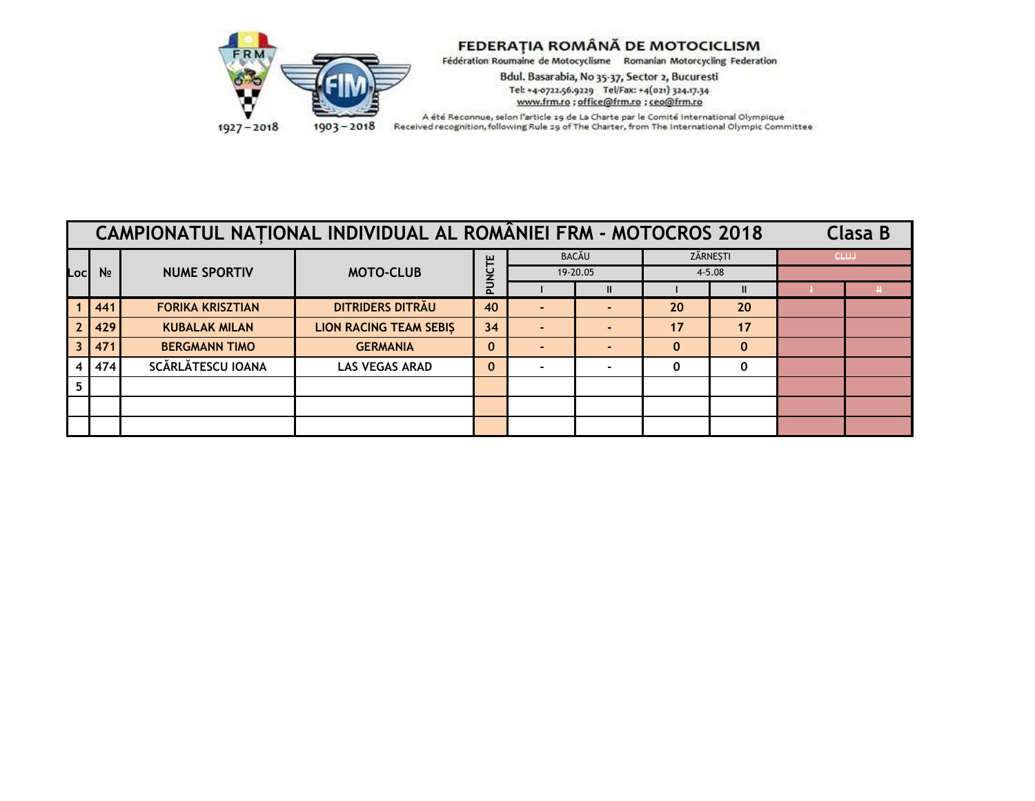

Bdul. Basarabia, No 35-37, Sector 2, Bucuresti Tel: +4-0722.56.9229 Tel/Fax: +4(021) 324.17.34<br>www.frm.ro ; office@frm.ro ; ceo@frm.ro

| CAMPIONATUL NATIONAL INDIVIDUAL AL ROMÂNIEI FRM - MOTOCROS 2018 |                |                         |                               |              |  |              |                        |              | Clasa B     |  |
|-----------------------------------------------------------------|----------------|-------------------------|-------------------------------|--------------|--|--------------|------------------------|--------------|-------------|--|
|                                                                 |                |                         | <b>MOTO-CLUB</b>              | ш            |  | <b>BACĂU</b> | ZĂRNEȘTI<br>$4 - 5.08$ |              | <b>CLUJ</b> |  |
| .ocl                                                            | N <sub>2</sub> | <b>NUME SPORTIV</b>     |                               |              |  | 19-20.05     |                        |              |             |  |
|                                                                 |                |                         |                               | $\Omega$     |  | Ш            |                        | $\mathbf{I}$ |             |  |
|                                                                 | 441            | <b>FORIKA KRISZTIAN</b> | DITRIDERS DITRAU              | 40           |  |              | 20                     | 20           |             |  |
|                                                                 | 429            | <b>KUBALAK MILAN</b>    | <b>LION RACING TEAM SEBIS</b> | 34           |  |              | 17                     | 17           |             |  |
|                                                                 | 471            | <b>BERGMANN TIMO</b>    | <b>GERMANIA</b>               | 0            |  |              | $\mathbf 0$            | $\mathbf{0}$ |             |  |
|                                                                 | 474            | SCĂRLĂTESCU IOANA       | <b>LAS VEGAS ARAD</b>         | $\mathbf{0}$ |  |              | 0                      | $\mathbf{0}$ |             |  |
| -5.                                                             |                |                         |                               |              |  |              |                        |              |             |  |
|                                                                 |                |                         |                               |              |  |              |                        |              |             |  |
|                                                                 |                |                         |                               |              |  |              |                        |              |             |  |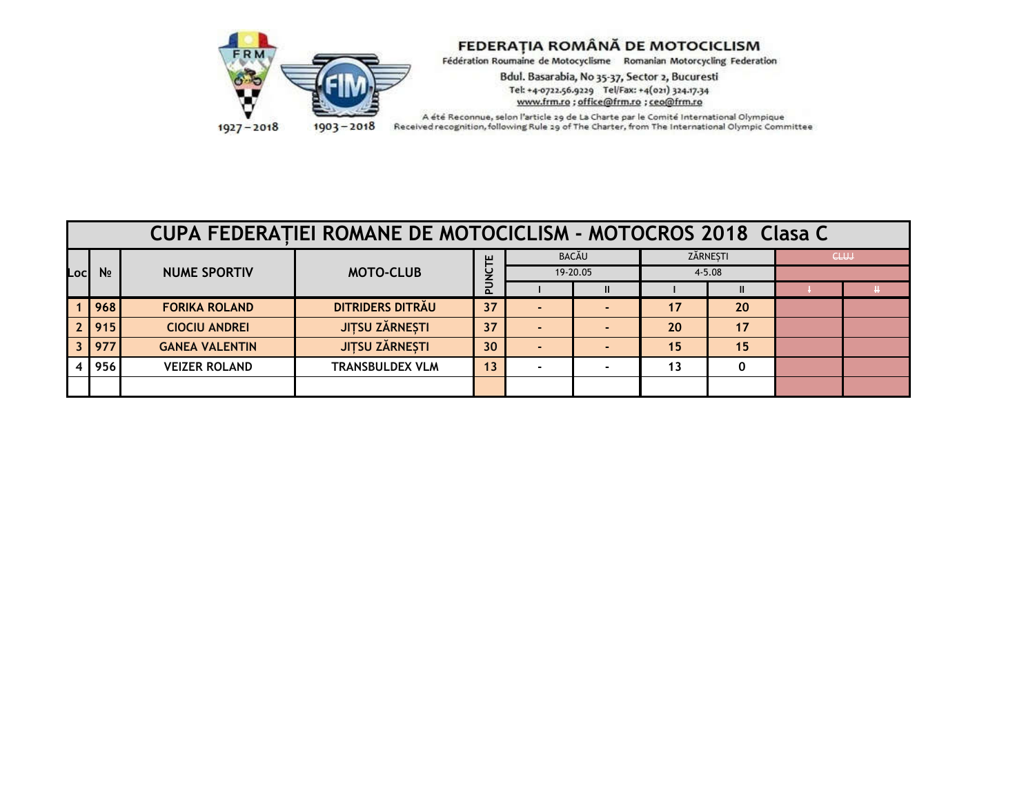

Bdul. Basarabia, No 35-37, Sector 2, Bucuresti Tel: +4-0722.56.9229 Tel/Fax: +4(021) 324.17.34<br>www.frm.ro ; office@frm.ro ; ceo@frm.ro

 $1927 - 2018$ 

|      | <b>CUPA FEDERATIEI ROMANE DE MOTOCICLISM - MOTOCROS 2018 Clasa C</b> |                       |                        |        |                   |  |                        |    |  |      |  |  |
|------|----------------------------------------------------------------------|-----------------------|------------------------|--------|-------------------|--|------------------------|----|--|------|--|--|
|      |                                                                      | <b>NUME SPORTIV</b>   | <b>MOTO-CLUB</b>       | ш<br>௳ | BACĂU<br>19-20.05 |  | ZĂRNESTI<br>$4 - 5.08$ |    |  | CLUJ |  |  |
| _ocl | N <sub>2</sub>                                                       |                       |                        |        |                   |  |                        |    |  |      |  |  |
|      |                                                                      |                       |                        |        |                   |  |                        |    |  |      |  |  |
|      | 968                                                                  | <b>FORIKA ROLAND</b>  | DITRIDERS DITRAU       | 37     |                   |  | 17                     | 20 |  |      |  |  |
|      | 915                                                                  | <b>CIOCIU ANDREI</b>  | <b>JITSU ZĂRNEȘTI</b>  | 37     |                   |  | 20                     | 17 |  |      |  |  |
|      | 977                                                                  | <b>GANEA VALENTIN</b> | <b>JITSU ZĂRNEȘTI</b>  | 30     |                   |  | 15                     | 15 |  |      |  |  |
|      | 956                                                                  | <b>VEIZER ROLAND</b>  | <b>TRANSBULDEX VLM</b> | 13     |                   |  | 13                     |    |  |      |  |  |
|      |                                                                      |                       |                        |        |                   |  |                        |    |  |      |  |  |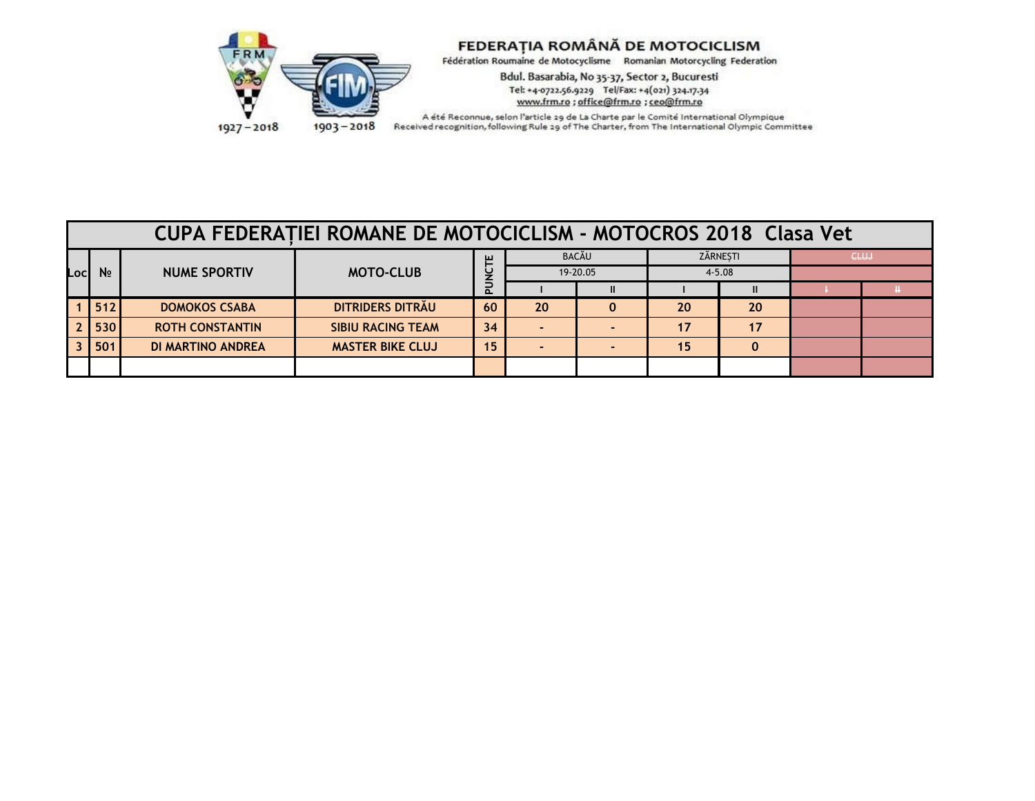

Bdul. Basarabia, No 35-37, Sector 2, Bucuresti Tel: +4-0722.56.9229 Tel/Fax: +4(021) 324.17.34<br>www.frm.ro ; office@frm.ro ; ceo@frm.ro

 $1927 - 2018$ 

|      | <b>CUPA FEDERATIEI ROMANE DE MOTOCICLISM - MOTOCROS 2018 Clasa Vet</b> |                          |                          |          |              |  |          |          |  |             |            |  |  |
|------|------------------------------------------------------------------------|--------------------------|--------------------------|----------|--------------|--|----------|----------|--|-------------|------------|--|--|
|      | N <sub>2</sub>                                                         | <b>NUME SPORTIV</b>      | <b>MOTO-CLUB</b>         | ш        | <b>BACĂU</b> |  | ZĂRNESTI |          |  | <b>CLUJ</b> |            |  |  |
| Locl |                                                                        |                          |                          |          |              |  | U        | 19-20.05 |  |             | $4 - 5.08$ |  |  |
|      |                                                                        |                          |                          | $\Omega$ |              |  |          |          |  |             |            |  |  |
|      | 512                                                                    | <b>DOMOKOS CSABA</b>     | DITRIDERS DITRAU         | 60       | 20           |  | 20       | 20       |  |             |            |  |  |
|      | 530                                                                    | <b>ROTH CONSTANTIN</b>   | <b>SIBIU RACING TEAM</b> | 34       |              |  | 17       | 17       |  |             |            |  |  |
|      | 501                                                                    | <b>DI MARTINO ANDREA</b> | <b>MASTER BIKE CLUJ</b>  | 15       |              |  | 15       | 0        |  |             |            |  |  |
|      |                                                                        |                          |                          |          |              |  |          |          |  |             |            |  |  |